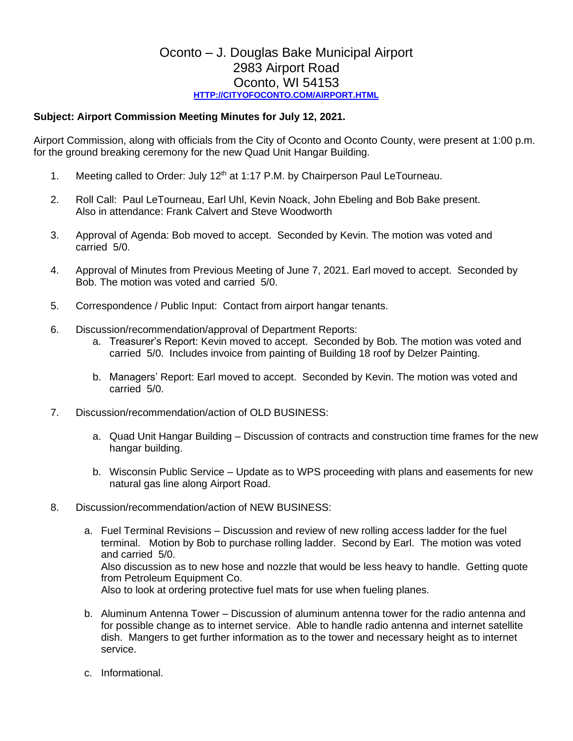## Oconto – J. Douglas Bake Municipal Airport 2983 Airport Road Oconto, WI 54153 **[HTTP://CITYOFOCONTO.COM/AIRPORT.HTML](http://cityofoconto.com/Airport.html)**

## **Subject: Airport Commission Meeting Minutes for July 12, 2021.**

Airport Commission, along with officials from the City of Oconto and Oconto County, were present at 1:00 p.m. for the ground breaking ceremony for the new Quad Unit Hangar Building.

- 1. Meeting called to Order: July 12<sup>th</sup> at 1:17 P.M. by Chairperson Paul LeTourneau.
- 2. Roll Call: Paul LeTourneau, Earl Uhl, Kevin Noack, John Ebeling and Bob Bake present. Also in attendance: Frank Calvert and Steve Woodworth
- 3. Approval of Agenda: Bob moved to accept. Seconded by Kevin. The motion was voted and carried 5/0.
- 4. Approval of Minutes from Previous Meeting of June 7, 2021. Earl moved to accept. Seconded by Bob. The motion was voted and carried 5/0.
- 5. Correspondence / Public Input: Contact from airport hangar tenants.
- 6. Discussion/recommendation/approval of Department Reports:
	- a. Treasurer's Report: Kevin moved to accept. Seconded by Bob. The motion was voted and carried 5/0. Includes invoice from painting of Building 18 roof by Delzer Painting.
	- b. Managers' Report: Earl moved to accept. Seconded by Kevin. The motion was voted and carried 5/0.
- 7. Discussion/recommendation/action of OLD BUSINESS:
	- a. Quad Unit Hangar Building Discussion of contracts and construction time frames for the new hangar building.
	- b. Wisconsin Public Service Update as to WPS proceeding with plans and easements for new natural gas line along Airport Road.
- 8. Discussion/recommendation/action of NEW BUSINESS:
	- a. Fuel Terminal Revisions Discussion and review of new rolling access ladder for the fuel terminal. Motion by Bob to purchase rolling ladder. Second by Earl. The motion was voted and carried 5/0. Also discussion as to new hose and nozzle that would be less heavy to handle. Getting quote from Petroleum Equipment Co. Also to look at ordering protective fuel mats for use when fueling planes.
	- b. Aluminum Antenna Tower Discussion of aluminum antenna tower for the radio antenna and for possible change as to internet service. Able to handle radio antenna and internet satellite dish. Mangers to get further information as to the tower and necessary height as to internet service.
	- c. Informational.